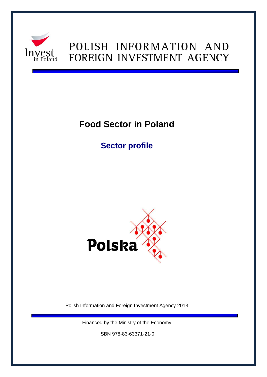

# POLISH INFORMATION AND FOREIGN INVESTMENT AGENCY

# **Food Sector in Poland**

**Sector profile** 



Polish Information and Foreign Investment Agency 2013

Financed by the Ministry of the Economy

ISBN 978-83-63371-21-0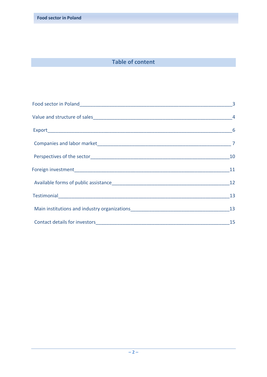# **Table of content**

|                                                           | 10 |
|-----------------------------------------------------------|----|
|                                                           | 11 |
|                                                           |    |
|                                                           |    |
| Main institutions and industry organizations<br><u>13</u> |    |
|                                                           |    |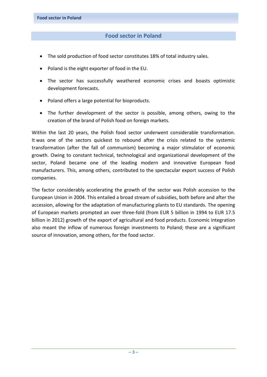## **Food sector in Poland**

- The sold production of food sector constitutes 18% of total industry sales.
- Poland is the eight exporter of food in the EU.
- The sector has successfully weathered economic crises and boasts optimistic development forecasts.
- Poland offers a large potential for bioproducts.
- The further development of the sector is possible, among others, owing to the creation of the brand of Polish food on foreign markets.

Within the last 20 years, the Polish food sector underwent considerable transformation. It was one of the sectors quickest to rebound after the crisis related to the systemic transformation (after the fall of communism) becoming a major stimulator of economic growth. Owing to constant technical, technological and organizational development of the sector, Poland became one of the leading modern and innovative European food manufacturers. This, among others, contributed to the spectacular export success of Polish companies.

The factor considerably accelerating the growth of the sector was Polish accession to the European Union in 2004. This entailed a broad stream of subsidies, both before and after the accession, allowing for the adaptation of manufacturing plants to EU standards. The opening of European markets prompted an over three-fold (from EUR 5 billion in 1994 to EUR 17.5 billion in 2012) growth of the export of agricultural and food products. Economic integration also meant the inflow of numerous foreign investments to Poland; these are a significant source of innovation, among others, for the food sector.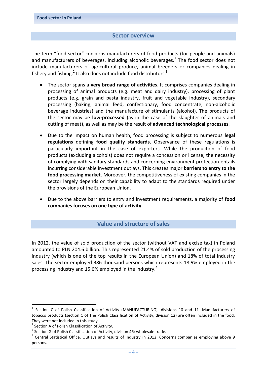#### **Sector overview**

The term "food sector" concerns manufacturers of food products (for people and animals) and manufacturers of beverages, including alcoholic beverages.<sup>1</sup> The food sector does not include manufacturers of agricultural produce, animal breeders or companies dealing in fishery and fishing.<sup>2</sup> It also does not include food distributors.<sup>3</sup>

- The sector spans a **very broad range of activities**. It comprises companies dealing in processing of animal products (e.g. meat and dairy industry), processing of plant products (e.g. grain and pasta industry, fruit and vegetable industry), secondary processing (baking, animal feed, confectionary, food concentrate, non-alcoholic beverage industries) and the manufacture of stimulants (alcohol). The products of the sector may be **low-processed** (as in the case of the slaughter of animals and cutting of meat), as well as may be the result of **advanced technological processes**.
- Due to the impact on human health, food processing is subject to numerous **legal regulations** defining **food quality standards**. Observance of these regulations is particularly important in the case of exporters. While the production of food products (excluding alcohols) does not require a concession or license, the necessity of complying with sanitary standards and concerning environment protection entails incurring considerable investment outlays. This creates major **barriers to entry to the food processing market**. Moreover, the competitiveness of existing companies in the sector largely depends on their capability to adapt to the standards required under the provisions of the European Union,
- Due to the above barriers to entry and investment requirements, a majority of **food companies focuses on one type of activity**.

### **Value and structure of sales**

In 2012, the value of sold production of the sector (without VAT and excise tax) in Poland amounted to PLN 204.6 billion. This represented 21.4% of sold production of the processing industry (which is one of the top results in the European Union) and 18% of total industry sales. The sector employed 386 thousand persons which represents 18.9% employed in the processing industry and 15.6% employed in the industry.<sup>4</sup>

<sup>1</sup> <sup>1</sup> Section C of Polish Classification of Activity (MANUFACTURING), divisions 10 and 11. Manufacturers of tobacco products (section C of The Polish Classification of Activity, division 12) are often included in the food. They were not included in this study.

<sup>&</sup>lt;sup>2</sup> Section A of Polish Classification of Activity.

 $3$  Section G of Polish Classification of Activity, division 46: wholesale trade.

<sup>&</sup>lt;sup>4</sup> Central Statistical Office, Outlays and results of industry in 2012. Concerns companies employing above 9 persons.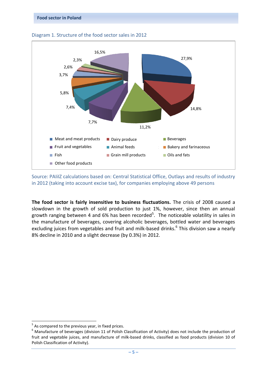

#### Diagram 1. Structure of the food sector sales in 2012

Source: PAIiIZ calculations based on: Central Statistical Office, Outlays and results of industry in 2012 (taking into account excise tax), for companies employing above 49 persons

**The food sector is fairly insensitive to business fluctuations.** The crisis of 2008 caused a slowdown in the growth of sold production to just 1%, however, since then an annual growth ranging between 4 and 6% has been recorded<sup>5</sup>. The noticeable volatility in sales in the manufacture of beverages, covering alcoholic beverages, bottled water and beverages excluding juices from vegetables and fruit and milk-based drinks.<sup>6</sup> This division saw a nearly 8% decline in 2010 and a slight decrease (by 0.3%) in 2012.

1

 $5$  As compared to the previous year, in fixed prices.

 $^6$  Manufacture of beverages (division 11 of Polish Classification of Activity) does not include the production of fruit and vegetable juices, and manufacture of milk-based drinks, classified as food products (division 10 of Polish Classification of Activity).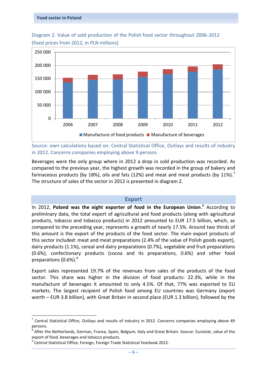

Diagram 2. Value of sold production of the Polish food sector throughout 2006-2012 (fixed prices from 2012, in PLN millions)

Source: own calculations based on: Central Statistical Office, Outlays and results of industry in 2012. Concerns companies employing above 9 persons

Beverages were the only group where in 2012 a drop in sold production was recorded. As compared to the previous year, the highest growth was recorded in the group of bakery and farinaceous products (by 18%), oils and fats (12%) and meat and meat products (by 11%).<sup>7</sup> The structure of sales of the sector in 2012 is presented in diagram 2.

#### **Export**

In 2012, **Poland was the eight exporter of food in the European Union**. 8 According to preliminary data, the total export of agricultural and food products (along with agricultural products, tobacco and tobacco products) in 2012 amounted to EUR 17.5 billion, which, as compared to the preceding year, represents a growth of nearly 17.5%. Around two thirds of this amount is the export of the products of the food sector. The main export products of this sector included: meat and meat preparations (2.4% of the value of Polish goods export), dairy products (1.1%), cereal and dairy preparations (0.7%), vegetable and fruit preparations (0.6%), confectionary products (cocoa and its preparations, 0.6%) and other food preparations  $(0.6\%)$ .

Export sales represented 19.7% of the revenues from sales of the products of the food sector. This share was higher in the division of food products: 22.3%, while in the manufacture of beverages it amounted to only 4.5%. Of that, 77% was exported to EU markets. The largest recipient of Polish food among EU countries was Germany (export worth – EUR 3.8 billion), with Great Britain in second place (EUR 1.3 billion), followed by the

**.** 

 $<sup>7</sup>$  Central Statistical Office, Outlays and results of industry in 2012. Concerns companies employing above 49</sup> persons.

<sup>&</sup>lt;sup>8</sup> After the Netherlands, German, France, Spain, Belgium, Italy and Great Britain. Source: Eurostat, value of the export of food, beverages and tobacco products.

<sup>&</sup>lt;sup>9</sup> Central Statistical Office, Foreign, Foreign Trade Statistical Yearbook 2012.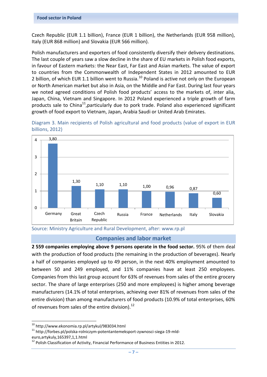Czech Republic (EUR 1.1 billion), France (EUR 1 billion), the Netherlands (EUR 958 million), Italy (EUR 868 million) and Slovakia (EUR 566 million).

Polish manufacturers and exporters of food consistently diversify their delivery destinations. The last couple of years saw a slow decline in the share of EU markets in Polish food exports, in favour of Eastern markets: the Near East, Far East and Asian markets. The value of export to countries from the Commonwealth of Independent States in 2012 amounted to EUR 2 billion, of which EUR 1.1 billion went to Russia.<sup>10</sup> Poland is active not only on the European or North American market but also in Asia, on the Middle and Far East. During last four years we noted agreed conditions of Polish food products' access to the markets of, inter alia, Japan, China, Vietnam and Singapore. In 2012 Poland experienced a triple growth of farm products sale to China<sup>11</sup>, particularly due to pork trade. Poland also experienced significant growth of food export to Vietnam, Japan, Arabia Saudi or United Arab Emirates.







#### **Companies and labor market**

**2 559 companies employing above 9 persons operate in the food sector.** 95% of them deal with the production of food products (the remaining in the production of beverages). Nearly a half of companies employed up to 49 person, in the next 40% employment amounted to between 50 and 249 employed, and 11% companies have at least 250 employees. Companies from this last group account for 63% of revenues from sales of the entire grocery sector. The share of large enterprises (250 and more employees) is higher among beverage manufacturers (14.1% of total enterprises, achieving over 81% of revenues from sales of the entire division) than among manufacturers of food products (10.9% of total enterprises, 60% of revenues from sales of the entire division). $^{12}$ 

<sup>1</sup> <sup>10</sup> http://www.ekonomia.rp.pl/artykul/983034.html

<sup>11</sup> http://forbes.pl/polska-rolniczym-potentantemeksport-zywnosci-siega-19-mld-

euro,artykuly,165397,1,1.html

 $12$  Polish Classification of Activity, Financial Performance of Business Entities in 2012.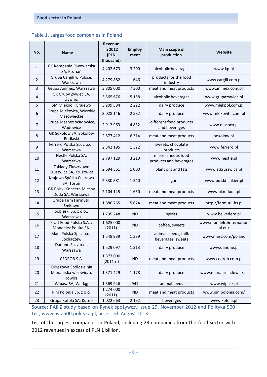| No.            | <b>Name</b>                                              | <b>Revenue</b><br>in 2012<br>(PLN<br>thousand) | <b>Employ</b><br>ment | Main scope of<br>production                                     | Website               |  |
|----------------|----------------------------------------------------------|------------------------------------------------|-----------------------|-----------------------------------------------------------------|-----------------------|--|
| $\mathbf{1}$   | GK Kompania Piwowarska<br>SA, Poznań                     | 4 4 0 2 6 7 3                                  | 3 2 0 0               | alcoholic beverages                                             | www.kp.pl             |  |
| 2              | Grupa Cargill w Polsce,<br>Warszawa                      | 4 279 882                                      | 1646                  | products for the food<br>industry                               | www.cargill.com.pl    |  |
| 3              | Grupa Animex, Warszawa                                   | 3 805 000                                      | 7 3 0 0               | meat and meat products                                          | www.animex.com.pl     |  |
| 4              | GK Grupy Żywiec SA,<br>Żywiec                            | 3 5 6 5 6 7 6                                  | 5 1 5 8               | alcoholic beverages<br>www.grupazywiec.pl                       |                       |  |
| 5              | SM Mlekpol, Grajewo                                      | 3 209 584                                      | 2 2 2 2               | dairy produce                                                   | www.mlekpol.com.pl    |  |
| 6              | Grupa Mlekovita, Wysokie<br>Mazowieckie                  | 3 0 28 146                                     | 2 5 8 2               | dairy produce                                                   | www.mlekovita.com.pl  |  |
| $\overline{7}$ | Grupa Maspex Wadowice,<br>Wadowice                       | 2 912 963                                      | 4832                  | different food products<br>www.maspex.pl<br>and beverages       |                       |  |
| 8              | GK Sokołów SA, Sokołów<br>Podlaski                       | 2877412                                        | 6314                  | meat and meat products                                          | sokolow.pl            |  |
| 9              | Ferrero Polska Sp. z o.o.,<br>Warszawa                   | 2 842 195                                      | 1322                  | sweets, chocolate<br>products                                   | www.ferrero.pl        |  |
| 10             | Nestle Polska SA,<br>Warszawa                            | 2 797 129                                      | 3 2 1 0               | miscellaneous food<br>products and beverages                    | www.nestle.pl         |  |
| 11             | Zakłady Tłuszczowe<br>Kruszwica SA, Kruszwica            | 2 694 361                                      | 1 0 0 0               | plant oils and fats                                             | www.ztkruszwica.pl    |  |
| 12             | Krajowa Spółka Cukrowa<br>SA, Toruń                      | 2 330 881                                      | 1540                  | sugar                                                           | www.polski-cukier.pl  |  |
| 13             | GK Polski Koncern Mięsny<br>Duda SA, Warszawa            | 2 104 145                                      | 1650                  | meat and meat products                                          | www.pkmduda.pl        |  |
| 14             | Grupa Firm Farmutil,<br>Śmiłowo                          | 1886765                                        | 5674                  | meat and meat products                                          | http://farmutil-hs.pl |  |
| 15             | Sobieski Sp. z o.o.,<br>Warszawa                         | 1735248                                        | <b>ND</b>             | spirits                                                         | www.belvedere.pl      |  |
| 16             | Kraft Food Polska S.A. /<br>Mondelez Polska SA.          | 1625000<br>(2011)                              | <b>ND</b>             | www.mondelezinternation<br>coffee, sweets<br>al.eu/             |                       |  |
| 17             | Mars Polska Sp. z o.o.,<br>Sochaczew                     | 1548939                                        | 1 3 8 9               | animals feeds, milk<br>www.mars.com/poland<br>beverages, sweets |                       |  |
| 18             | Danone Sp. z o.o.,<br>Warszawa                           | 1529097                                        | 1 3 1 3               | dairy produce<br>www.danone.pl                                  |                       |  |
| 19             | CEDROB S.A.                                              | 1 377 000<br>(2011 r.)                         | ND                    | meat and meat products<br>www.cedrob.com.pl                     |                       |  |
| 20             | Okręgowa Spółdzielnia<br>Mleczarska w Łowiczu,<br>Łowicz | 1 371 429                                      | 1 1 7 8               | dairy produce<br>www.mleczarnia.lowicz.pl                       |                       |  |
| 21             | Wipasz SA, Wadąg                                         | 1 369 946                                      | 941                   | animal feeds                                                    | www.wipasz.pl         |  |
| 22             | Pini Polonia Sp. z o.o.                                  | 1 274 000<br>(2011)                            | ND                    | meat and meat products                                          | www.pinipolonia.com/  |  |
| 23             | Grupa Kofola SA, Kutno                                   | 1022663                                        | 2 1 9 2               | beverages                                                       | www.kofola.pl         |  |

Source: PAIiIZ study based on Rynek spożywczy issue 29, November 2012 and Polityka 500 List, [www.lista500.polityka.pl,](http://www.lista500.polityka.pl/) accessed: August 2013

List of the largest companies in Poland, including 23 companies from the food sector with 2012 revenues in excess of PLN 1 billion.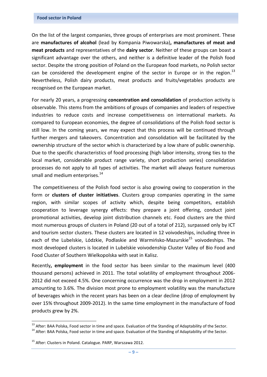On the list of the largest companies, three groups of enterprises are most prominent. These are **manufactures of alcohol** (lead by Kompania Piwowarska)**, manufactures of meat and meat products** and representatives of the **dairy sector**. Neither of these groups can boast a significant advantage over the others, and neither is a definitive leader of the Polish food sector. Despite the strong position of Poland on the European food markets, no Polish sector can be considered the development engine of the sector in Europe or in the region.<sup>13</sup> Nevertheless, Polish dairy products, meat products and fruits/vegetables products are recognised on the European market.

For nearly 20 years, a progressing **concentration and consolidation** of production activity is observable. This stems from the ambitions of groups of companies and leaders of respective industries to reduce costs and increase competitiveness on international markets. As compared to European economies, the degree of consolidations of the Polish food sector is still low. In the coming years, we may expect that this process will be continued through further mergers and takeovers. Concentration and consolidation will be facilitated by the ownership structure of the sector which is characterized by a low share of public ownership. Due to the specific characteristics of food processing (high labor intensity, strong ties to the local market, considerable product range variety, short production series) consolidation processes do not apply to all types of activities. The market will always feature numerous small and medium enterprises. $^{14}$ 

 The competitiveness of the Polish food sector is also growing owing to cooperation in the form or **clusters of cluster initiatives**. Clusters group companies operating in the same region, with similar scopes of activity which, despite being competitors, establish cooperation to leverage synergy effects: they prepare a joint offering, conduct joint promotional activities, develop joint distribution channels etc. Food clusters are the third most numerous groups of clusters in Poland (20 out of a total of 212), surpassed only by ICT and tourism sector clusters. These clusters are located in 12 voivodeships, including three in each of the Lubelskie, Lódzkie, Podlaskie and Warmińsko-Mazurskie<sup>15</sup> voivodeships. The most developed clusters is located in Lubelskie voivodenship Cluster Valley of Bio Food and Food Cluster of Southern Wielkopolska with seat in Kalisz.

Recently**, employment** in the food sector has been similar to the maximum level (400 thousand persons) achieved in 2011. The total volatility of employment throughout 2006- 2012 did not exceed 4.5%. One concerning occurrence was the drop in employment in 2012 amounting to 3.6%. The division most prone to employment volatility was the manufacture of beverages which in the recent years has been on a clear decline (drop of employment by over 15% throughout 2009-2012). In the same time employment in the manufacture of food products grew by 2%.

1

<sup>&</sup>lt;sup>13</sup> After: BAA Polska, Food sector in time and space. Evaluation of the Standing of Adaptability of the Sector.

<sup>&</sup>lt;sup>14</sup> After: BAA Polska, Food sector in time and space. Evaluation of the Standing of Adaptability of the Sector.

<sup>&</sup>lt;sup>15</sup> After: Clusters in Poland. Catalogue. PARP, Warszawa 2012.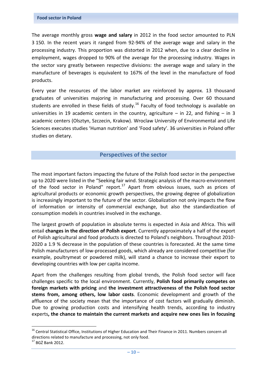The average monthly gross **wage and salary** in 2012 in the food sector amounted to PLN 3 150. In the recent years it ranged from 92-94% of the average wage and salary in the processing industry. This proportion was distorted in 2012 when, due to a clear decline in employment, wages dropped to 90% of the average for the processing industry. Wages in the sector vary greatly between respective divisions: the average wage and salary in the manufacture of beverages is equivalent to 167% of the level in the manufacture of food products.

Every year the resources of the labor market are reinforced by approx. 13 thousand graduates of universities majoring in manufacturing and processing. Over 60 thousand students are enrolled in these fields of study.<sup>16</sup> Faculty of food technology is available on universities in 19 academic centers in the country, agriculture  $-$  in 22, and fishing  $-$  in 3 academic centers (Olsztyn, Szczecin, Krakow). Wroclaw University of Environmental and Life Sciences executes studies 'Human nutrition' and 'Food safety'. 36 universities in Poland offer studies on dietary.

#### **Perspectives of the sector**

The most important factors impacting the future of the Polish food sector in the perspective up to 2020 were listed in the "Seeking fair wind. Strategic analysis of the macro-environment of the food sector in Poland" report.<sup>17</sup> Apart from obvious issues, such as prices of agricultural products or economic growth perspectives, the growing degree of globalization is increasingly important to the future of the sector. Globalization not only impacts the flow of information or intensity of commercial exchange, but also the standardization of consumption models in countries involved in the exchange.

The largest growth of population in absolute terms is expected in Asia and Africa. This will entail **changes in the direction of Polish export**. Currently approximately a half of the export of Polish agricultural and food products is directed to Poland's neighbors. Throughout 2010- 2020 a 1.9 % decrease in the population of these countries is forecasted. At the same time Polish manufacturers of low-processed goods, which already are considered competitive (for example, poultrymeat or powdered milk), will stand a chance to increase their export to developing countries with low per capita income.

Apart from the challenges resulting from global trends, the Polish food sector will face challenges specific to the local environment. Currently, **Polish food primarily competes on foreign markets with pricing** and **the investment attractiveness of the Polish food sector stems from, among others, low labor costs**. Economic development and growth of the affluence of the society mean that the importance of cost factors will gradually diminish. Due to growing production costs and intensifying health trends, according to industry experts**, the chance to maintain the current markets and acquire new ones lies in focusing** 

**.** 

<sup>&</sup>lt;sup>16</sup> Central Statistical Office, Institutions of Higher Education and Their Finance in 2011. Numbers concern all directions related to manufacture and processing, not only food.

 $17$  BGŻ Bank 2012.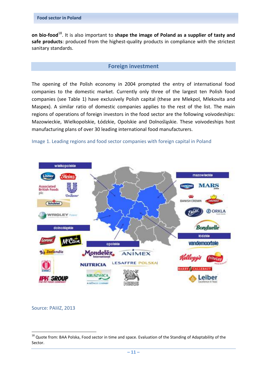**on bio-food**<sup>18</sup>. It is also important to **shape the image of Poland as a supplier of tasty and safe products**: produced from the highest-quality products in compliance with the strictest sanitary standards.

#### **Foreign investment**

The opening of the Polish economy in 2004 prompted the entry of international food companies to the domestic market. Currently only three of the largest ten Polish food companies (see Table 1) have exclusively Polish capital (these are Mlekpol, Mlekovita and Maspex). A similar ratio of domestic companies applies to the rest of the list. The main regions of operations of foreign investors in the food sector are the following voivodeships: Mazowieckie, Wielkopolskie, Łódzkie, Opolskie and Dolnośląskie. These voivodeships host manufacturing plans of over 30 leading international food manufacturers.





Source: PAIiIZ, 2013

1

<sup>&</sup>lt;sup>18</sup> Quote from: BAA Polska, Food sector in time and space. Evaluation of the Standing of Adaptability of the Sector.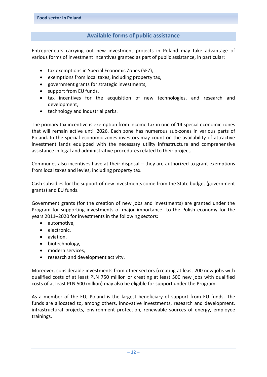## **Available forms of public assistance**

Entrepreneurs carrying out new investment projects in Poland may take advantage of various forms of investment incentives granted as part of public assistance, in particular:

- tax exemptions in Special Economic Zones (SEZ),
- exemptions from local taxes, including property tax,
- government grants for strategic investments,
- support from EU funds,
- tax incentives for the acquisition of new technologies, and research and development,
- technology and industrial parks.

The primary tax incentive is exemption from income tax in one of 14 special economic zones that will remain active until 2026. Each zone has numerous sub-zones in various parts of Poland. In the special economic zones investors may count on the availability of attractive investment lands equipped with the necessary utility infrastructure and comprehensive assistance in legal and administrative procedures related to their project.

Communes also incentives have at their disposal – they are authorized to grant exemptions from local taxes and levies, including property tax.

Cash subsidies for the support of new investments come from the State budget (government grants) and EU funds.

Government grants (for the creation of new jobs and investments) are granted under the Program for supporting investments of major importance to the Polish economy for the years 2011–2020 for investments in the following sectors:

- automotive,
- electronic.
- aviation,
- biotechnology,
- modern services,
- research and development activity.

Moreover, considerable investments from other sectors (creating at least 200 new jobs with qualified costs of at least PLN 750 million or creating at least 500 new jobs with qualified costs of at least PLN 500 million) may also be eligible for support under the Program.

As a member of the EU, Poland is the largest beneficiary of support from EU funds. The funds are allocated to, among others, innovative investments, research and development, infrastructural projects, environment protection, renewable sources of energy, employee trainings.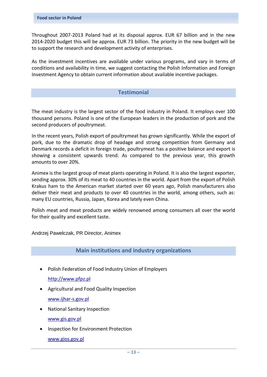Throughout 2007-2013 Poland had at its disposal approx. EUR 67 billion and in the new 2014-2020 budget this will be approx. EUR 73 billion. The priority in the new budget will be to support the research and development activity of enterprises.

As the investment incentives are available under various programs, and vary in terms of conditions and availability in time, we suggest contacting the Polish Information and Foreign Investment Agency to obtain current information about available incentive packages.

#### **Testimonial**

The meat industry is the largest sector of the food industry in Poland. It employs over 100 thousand persons. Poland is one of the European leaders in the production of pork and the second producers of poultrymeat.

In the recent years, Polish export of poultrymeat has grown significantly. While the export of pork, due to the dramatic drop of headage and strong competition from Germany and Denmark records a deficit in foreign trade, poultrymeat has a positive balance and export is showing a consistent upwards trend. As compared to the previous year, this growth amounts to over 20%.

Animex is the largest group of meat plants operating in Poland. It is also the largest exporter, sending approx. 30% of its meat to 40 countries in the world. Apart from the export of Polish Krakus ham to the American market started over 60 years ago, Polish manufacturers also deliver their meat and products to over 40 countries in the world, among others, such as: many EU countries, Russia, Japan, Korea and lately even China.

Polish meat and meat products are widely renowned among consumers all over the world for their quality and excellent taste.

Andrzej Pawelczak, PR Director, Animex

#### **Main institutions and industry organizations**

• Polish Federation of Food Industry Union of Employers

[http://www.pfpz.pl](http://www.pfpz.pl/)

- Agricultural and Food Quality Inspection
	- [www.ijhar-s.gov.pl](http://www.ijhar-s.gov.pl/)
- National Sanitary Inspection [www.gis.gov.pl](http://www.gis.gov.pl/)
- Inspection for Environment Protection [www.gios.gov.pl](http://www.gios.gov.pl/)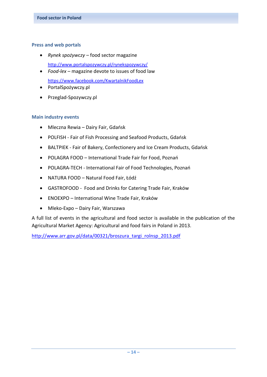#### **Press and web portals**

*Rynek spożywczy* – food sector magazine

<http://www.portalspozywczy.pl/rynekspozywczy/>

- *Food-lex* magazine devote to issues of food law <https://www.facebook.com/KwartalnikFoodLex>
- PortalSpożywczy.pl
- Przeglad-Spozywczy.pl

#### **Main industry events**

- Mleczna Rewia Dairy Fair, Gdańsk
- POLFISH Fair of Fish Processing and Seafood Products, Gdańsk
- BALTPIEK Fair of Bakery, Confectionery and Ice Cream Products, Gdańsk
- POLAGRA FOOD International Trade Fair for Food, Poznań
- POLAGRA-TECH International Fair of Food Technologies, Poznań
- NATURA FOOD Natural Food Fair, Łódź
- GASTROFOOD Food and Drinks for Catering Trade Fair, Kraków
- ENOEXPO International Wine Trade Fair, Kraków
- Mleko-Expo Dairy Fair, Warszawa

A full list of events in the agricultural and food sector is available in the publication of the Agricultural Market Agency: Agricultural and food fairs in Poland in 2013.

[http://www.arr.gov.pl/data/00321/broszura\\_targi\\_rolnsp\\_2013.pdf](http://www.arr.gov.pl/data/00321/broszura_targi_rolnsp_2013.pdf)